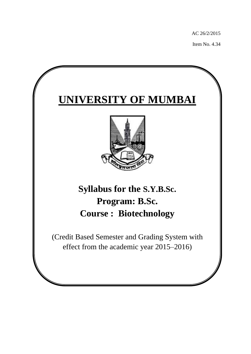AC 26/2/2015

Item No. 4.34

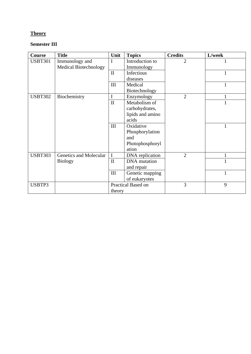## **Theory**

## **Semester III**

| Course         | <b>Title</b>           | Unit         | <b>Topics</b>       | <b>Credits</b> | L/week       |
|----------------|------------------------|--------------|---------------------|----------------|--------------|
| <b>USBT301</b> | Immunology and         | I            | Introduction to     | $\overline{2}$ |              |
|                | Medical Biotechnology  |              | Immunology          |                |              |
|                |                        | $\mathbf{I}$ | Infectious          |                | 1            |
|                |                        |              | diseases            |                |              |
|                |                        | III          | Medical             |                | 1            |
|                |                        |              | Biotechnology       |                |              |
| <b>USBT302</b> | Biochemistry           | $\mathbf I$  | Enzymology          | $\overline{2}$ |              |
|                |                        | $\rm II$     | Metabolism of       |                | $\mathbf{1}$ |
|                |                        |              | carbohydrates,      |                |              |
|                |                        |              | lipids and amino    |                |              |
|                |                        |              | acids               |                |              |
|                |                        | III          | Oxidative           |                | 1            |
|                |                        |              | Phosphorylation     |                |              |
|                |                        |              | and                 |                |              |
|                |                        |              | Photophosphoryl     |                |              |
|                |                        |              | ation               |                |              |
| <b>USBT303</b> | Genetics and Molecular | I            | DNA replication     | $\overline{2}$ | $\mathbf{1}$ |
|                | <b>Biology</b>         | $\mathbf{I}$ | <b>DNA</b> mutation |                | $\mathbf{1}$ |
|                |                        |              | and repair          |                |              |
|                |                        | III          | Genetic mapping     |                | $\mathbf{1}$ |
|                |                        |              | of eukaryotes       |                |              |
| USBTP3         |                        |              | Practical Based on  | 3              | 9            |
|                |                        | theory       |                     |                |              |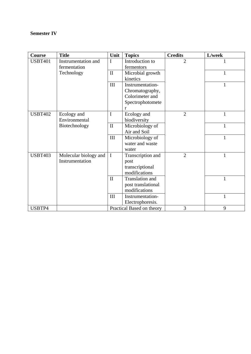## **Semester IV**

| Course         | <b>Title</b>          | Unit         | <b>Topics</b>             | <b>Credits</b> | L/week       |
|----------------|-----------------------|--------------|---------------------------|----------------|--------------|
| <b>USBT401</b> | Instrumentation and   | I            | Introduction to           | $\overline{2}$ |              |
|                | fermentation          |              | fermentors                |                |              |
|                | Technology            | $\mathbf{I}$ | Microbial growth          |                | $\mathbf{1}$ |
|                |                       |              | kinetics                  |                |              |
|                |                       | III          | Instrumentation-          |                | 1            |
|                |                       |              | Chromatography,           |                |              |
|                |                       |              | Colorimeter and           |                |              |
|                |                       |              | Spectrophotomete          |                |              |
|                |                       |              | r                         |                |              |
| <b>USBT402</b> | Ecology and           | I            | Ecology and               | $\overline{2}$ | $\mathbf{1}$ |
|                | Environmental         |              | biodiversity              |                |              |
|                | Biotechnology         | $\mathbf{I}$ | Microbiology of           |                | $\mathbf{1}$ |
|                |                       |              | Air and Soil              |                |              |
|                |                       | III          | Microbiology of           |                | $\mathbf{1}$ |
|                |                       |              | water and waste           |                |              |
|                |                       |              | water                     |                |              |
| <b>USBT403</b> | Molecular biology and | $\mathbf I$  | Transcription and         | $\overline{2}$ | $\mathbf{1}$ |
|                | Instrumentation       |              | post                      |                |              |
|                |                       |              | transcriptional           |                |              |
|                |                       |              | modifications             |                |              |
|                |                       | $\mathbf{I}$ | Translation and           |                | 1            |
|                |                       |              | post translational        |                |              |
|                |                       |              | modifications             |                |              |
|                |                       | III          | Instrumentation-          |                | $\mathbf{1}$ |
|                |                       |              | Electrophoresis.          |                |              |
| USBTP4         |                       |              | Practical Based on theory | 3              | 9            |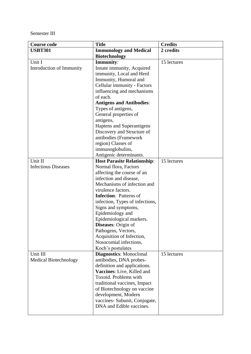Semester III

| <b>Course code</b>           | <b>Title</b>                       | <b>Credits</b> |
|------------------------------|------------------------------------|----------------|
| <b>USBT301</b>               | <b>Immunology and Medical</b>      | 2 credits      |
|                              | <b>Biotechnology</b>               |                |
| Unit I                       | <b>Immunity:</b>                   | 15 lectures    |
| Introduction of Immunity     | Innate immunity, Acquired          |                |
|                              | immunity, Local and Herd           |                |
|                              | Immunity, Humoral and              |                |
|                              | Cellular immunity - Factors        |                |
|                              | influencing and mechanisms         |                |
|                              | of each.                           |                |
|                              | <b>Antigens and Antibodies:</b>    |                |
|                              | Types of antigens,                 |                |
|                              | General properties of              |                |
|                              | antigens,                          |                |
|                              | Haptens and Superantigens          |                |
|                              | Discovery and Structure of         |                |
|                              | antibodies (Framework              |                |
|                              | region) Classes of                 |                |
|                              | immunoglobulins,                   |                |
|                              | Antigenic determinants.            |                |
| Unit II                      | <b>Host Parasite Relationship:</b> | 15 lectures    |
| <b>Infectious Diseases</b>   | Normal flora, Factors              |                |
|                              | affecting the course of an         |                |
|                              | infection and disease,             |                |
|                              | Mechanisms of infection and        |                |
|                              | virulence factors.                 |                |
|                              | <b>Infection:</b> Patterns of      |                |
|                              | infection, Types of infections,    |                |
|                              | Signs and symptoms,                |                |
|                              | Epidemiology and                   |                |
|                              | Epidemiological markers.           |                |
|                              | <b>Diseases:</b> Origin of         |                |
|                              | Pathogens, Vectors,                |                |
|                              | Acquisition of Infection,          |                |
|                              | Nosocomial infections,             |                |
|                              | Koch's postulates                  |                |
| Unit III                     | <b>Diagnostics:</b> Monoclonal     | 15 lectures    |
| <b>Medical Biotechnology</b> | antibodies, DNA probes-            |                |
|                              | definition and applications.       |                |
|                              | Vaccines: Live, Killed and         |                |
|                              | Toxoid. Problems with              |                |
|                              | traditional vaccines, Impact       |                |
|                              | of Biotechnology on vaccine        |                |
|                              | development, Modern                |                |
|                              | vaccines- Subunit, Conjugate,      |                |
|                              | DNA and Edible vaccines.           |                |
|                              |                                    |                |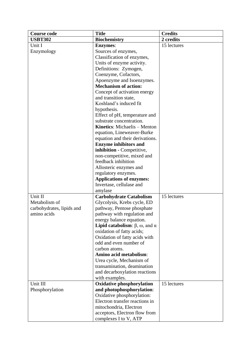| <b>Course code</b>        | <b>Title</b>                                                | <b>Credits</b> |
|---------------------------|-------------------------------------------------------------|----------------|
| <b>USBT302</b>            | <b>Biochemistry</b>                                         | 2 credits      |
| Unit I                    | <b>Enzymes:</b>                                             | 15 lectures    |
| Enzymology                | Sources of enzymes,                                         |                |
|                           | Classification of enzymes,                                  |                |
|                           | Units of enzyme activity.                                   |                |
|                           | Definitions: Zymogen,                                       |                |
|                           | Coenzyme, Cofactors,                                        |                |
|                           | Apoenzyme and Isoenzymes.                                   |                |
|                           | <b>Mechanism of action:</b>                                 |                |
|                           | Concept of activation energy                                |                |
|                           | and transition state,                                       |                |
|                           | Koshland's induced fit                                      |                |
|                           | hypothesis.                                                 |                |
|                           | Effect of pH, temperature and                               |                |
|                           | substrate concentration.                                    |                |
|                           | <b>Kinetics:</b> Michaelis – Menton                         |                |
|                           | equation, Lineweaver-Burke                                  |                |
|                           | equation and their derivations.                             |                |
|                           | <b>Enzyme inhibitors and</b>                                |                |
|                           | inhibition - Competitive,                                   |                |
|                           | non-competitive, mixed and                                  |                |
|                           | feedback inhibition                                         |                |
|                           | Allosteric enzymes and                                      |                |
|                           | regulatory enzymes.                                         |                |
|                           | <b>Applications of enzymes:</b>                             |                |
|                           | Invertase, cellulase and                                    |                |
|                           | amylase                                                     |                |
| Unit II                   | <b>Carbohydrate Catabolism</b>                              | 15 lectures    |
| Metabolism of             | Glycolysis, Krebs cycle, ED                                 |                |
| carbohydrates, lipids and | pathway, Pentose phosphate                                  |                |
| amino acids               | pathway with regulation and                                 |                |
|                           | energy balance equation.                                    |                |
|                           | <b>Lipid catabolism</b> : $\beta$ , $\omega$ , and $\alpha$ |                |
|                           | oxidation of fatty acids;                                   |                |
|                           | Oxidation of fatty acids with                               |                |
|                           | odd and even number of<br>carbon atoms.                     |                |
|                           | Amino acid metabolism:                                      |                |
|                           | Urea cycle, Mechanism of                                    |                |
|                           | transamination, deamination                                 |                |
|                           | and decarboxylation reactions                               |                |
|                           | with examples.                                              |                |
| Unit III                  | <b>Oxidative phosphorylation</b>                            | 15 lectures    |
| Phosphorylation           | and photophosphorylation:                                   |                |
|                           | Oxidative phosphorylation:                                  |                |
|                           | Electron transfer reactions in                              |                |
|                           | mitochondria, Electron                                      |                |
|                           | acceptors, Electron flow from                               |                |
|                           | complexes I to V, ATP                                       |                |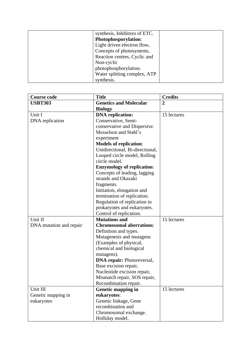| synthesis, Inhibitors of ETC. |  |
|-------------------------------|--|
| Photophosporylation:          |  |
| Light driven electron flow,   |  |
| Concepts of photosystems,     |  |
| Reaction centres, Cyclic and  |  |
| Non-cyclic                    |  |
| photophosphorylation.         |  |
| Water splitting complex, ATP  |  |
| synthesis.                    |  |

| <b>Course code</b>      | <b>Title</b>                                               | <b>Credits</b> |
|-------------------------|------------------------------------------------------------|----------------|
| <b>USBT303</b>          | <b>Genetics and Molecular</b>                              | $\overline{2}$ |
|                         | <b>Biology</b>                                             |                |
| Unit I                  | <b>DNA</b> replication:                                    | 15 lectures    |
| DNA replication         | Conservative, Semi-                                        |                |
|                         | conservative and Dispersive.                               |                |
|                         | Messelson and Stahl's                                      |                |
|                         | experiment                                                 |                |
|                         | <b>Models of replication:</b>                              |                |
|                         | Unidirectional, Bi-directional,                            |                |
|                         | Looped circle model, Rolling                               |                |
|                         | circle model.                                              |                |
|                         | <b>Enzymology of replication:</b>                          |                |
|                         | Concepts of leading, lagging                               |                |
|                         | strands and Okazaki                                        |                |
|                         | fragments.                                                 |                |
|                         | Initiation, elongation and                                 |                |
|                         | termination of replication.                                |                |
|                         | Regulation of replication in                               |                |
|                         | prokaryotes and eukaryotes.                                |                |
|                         | Control of replication.                                    |                |
| Unit II                 | <b>Mutations and</b>                                       | 15 lectures    |
| DNA mutation and repair | <b>Chromosomal aberrations:</b>                            |                |
|                         | Definition and types.                                      |                |
|                         | Mutagenesis and mutagens                                   |                |
|                         | (Examples of physical,                                     |                |
|                         | chemical and biological                                    |                |
|                         | mutagens).                                                 |                |
|                         | <b>DNA repair: Photoreversal,</b><br>Base excision repair, |                |
|                         | Nucleotide excision repair,                                |                |
|                         | Mismatch repair, SOS repair,                               |                |
|                         | Recombination repair.                                      |                |
| Unit III                | <b>Genetic mapping in</b>                                  | 15 lectures    |
| Genetic mapping in      | eukaryotes:                                                |                |
| eukaryotes              | Genetic linkage, Gene                                      |                |
|                         | recombination and                                          |                |
|                         | Chromosomal exchange.                                      |                |
|                         | Holliday model.                                            |                |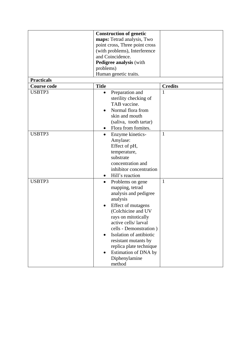| <b>Construction of genetic</b>   |  |  |  |  |
|----------------------------------|--|--|--|--|
| maps: Tetrad analysis, Two       |  |  |  |  |
| point cross, Three point cross   |  |  |  |  |
| (with problems), Interference    |  |  |  |  |
| and Coincidence.                 |  |  |  |  |
| <b>Pedigree analysis (with</b>   |  |  |  |  |
|                                  |  |  |  |  |
| Human genetic traits.            |  |  |  |  |
|                                  |  |  |  |  |
| <b>Credits</b>                   |  |  |  |  |
| 1<br>Preparation and             |  |  |  |  |
| sterility checking of            |  |  |  |  |
| TAB vaccine.                     |  |  |  |  |
| Normal flora from                |  |  |  |  |
| skin and mouth                   |  |  |  |  |
| (saliva, tooth tartar)           |  |  |  |  |
| Flora from fomites.              |  |  |  |  |
| $\mathbf{1}$<br>Enzyme kinetics- |  |  |  |  |
|                                  |  |  |  |  |
| Amylase:                         |  |  |  |  |
| Effect of pH,                    |  |  |  |  |
| temperature,                     |  |  |  |  |
| substrate                        |  |  |  |  |
| concentration and                |  |  |  |  |
| inhibitor concentration          |  |  |  |  |
| Hill's reaction                  |  |  |  |  |
| $\mathbf{1}$<br>Problems on gene |  |  |  |  |
| mapping, tetrad                  |  |  |  |  |
| analysis and pedigree            |  |  |  |  |
| analysis                         |  |  |  |  |
| Effect of mutagens               |  |  |  |  |
| (Colchicine and UV               |  |  |  |  |
| rays on mitotically              |  |  |  |  |
| active cells/larval              |  |  |  |  |
| cells - Demonstration)           |  |  |  |  |
| Isolation of antibiotic          |  |  |  |  |
| resistant mutants by             |  |  |  |  |
| replica plate technique          |  |  |  |  |
| Estimation of DNA by             |  |  |  |  |
|                                  |  |  |  |  |
| Diphenylamine                    |  |  |  |  |
|                                  |  |  |  |  |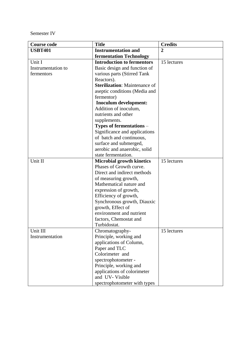Semester IV

| <b>Title</b><br><b>Course code</b> |                                      | <b>Credits</b> |
|------------------------------------|--------------------------------------|----------------|
| <b>USBT401</b>                     | <b>Instrumentation and</b>           | $\overline{2}$ |
|                                    | <b>fermentation Technology</b>       |                |
| Unit I                             | <b>Introduction to fermentors</b>    | 15 lectures    |
| Instrumentation to                 | Basic design and function of         |                |
| fermentors                         | various parts (Stirred Tank          |                |
|                                    | Reactors).                           |                |
|                                    | <b>Sterilization:</b> Maintenance of |                |
|                                    | aseptic conditions (Media and        |                |
|                                    | fermentor)                           |                |
|                                    | Inoculum development:                |                |
|                                    | Addition of inoculum,                |                |
|                                    | nutrients and other                  |                |
|                                    | supplements.                         |                |
|                                    | Types of fermentations -             |                |
|                                    | Significance and applications        |                |
|                                    | of batch and continuous,             |                |
|                                    | surface and submerged,               |                |
|                                    | aerobic and anaerobic, solid         |                |
|                                    | state fermentation.                  |                |
| Unit II                            | <b>Microbial growth kinetics</b>     | 15 lectures    |
|                                    | Phases of Growth curve.              |                |
|                                    | Direct and indirect methods          |                |
|                                    | of measuring growth,                 |                |
|                                    | Mathematical nature and              |                |
|                                    | expression of growth,                |                |
|                                    | Efficiency of growth,                |                |
|                                    | Synchronous growth, Diauxic          |                |
|                                    | growth, Effect of                    |                |
|                                    | environment and nutrient             |                |
|                                    | factors, Chemostat and               |                |
|                                    | Turbidostat.                         |                |
| Unit III                           | Chromatography-                      | 15 lectures    |
| Instrumentation                    | Principle, working and               |                |
|                                    | applications of Column,              |                |
|                                    | Paper and TLC<br>Colorimeter and     |                |
|                                    | spectrophotometer -                  |                |
|                                    | Principle, working and               |                |
|                                    | applications of colorimeter          |                |
|                                    |                                      |                |
|                                    | and UV-Visible                       |                |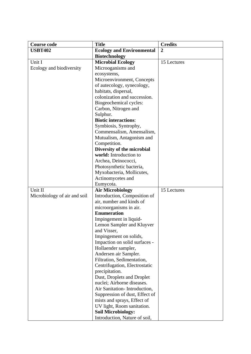| <b>Course code</b>           | <b>Title</b>                                            | <b>Credits</b> |
|------------------------------|---------------------------------------------------------|----------------|
| <b>USBT402</b>               | <b>Ecology and Environmental</b>                        | $\overline{2}$ |
|                              | <b>Biotechnology</b>                                    |                |
| Unit I                       | <b>Microbial Ecology</b>                                | 15 Lectures    |
| Ecology and biodiversity     | Microoganisms and                                       |                |
|                              | ecosystems,                                             |                |
|                              | Microenvironment, Concepts                              |                |
|                              | of autecology, synecology,                              |                |
|                              | habitats, dispersal,                                    |                |
|                              | colonization and succession.                            |                |
|                              | Biogeochemical cycles:                                  |                |
|                              | Carbon, Nitrogen and                                    |                |
|                              | Sulphur.                                                |                |
|                              | <b>Biotic interactions:</b>                             |                |
|                              | Symbiosis, Syntrophy,                                   |                |
|                              | Commensalism, Amensalism,                               |                |
|                              | Mutualism, Antagonism and                               |                |
|                              | Competition.                                            |                |
|                              | Diversity of the microbial                              |                |
|                              | world: Introduction to                                  |                |
|                              | Archea, Deinococci,                                     |                |
|                              | Photosynthetic bacteria,                                |                |
|                              | Myxobacteria, Mollicutes,                               |                |
|                              | Actinomycetes and                                       |                |
|                              | Eumycota.                                               |                |
| Unit II                      | <b>Air Microbiology</b>                                 | 15 Lectures    |
| Microbiology of air and soil | Introduction, Composition of                            |                |
|                              | air, number and kinds of                                |                |
|                              | microorganisms in air.                                  |                |
|                              | <b>Enumeration</b>                                      |                |
|                              | Impingement in liquid-                                  |                |
|                              | Lemon Sampler and Kluyver                               |                |
|                              | and Visser,                                             |                |
|                              | Impingement on solids,<br>Impaction on solid surfaces - |                |
|                              | Hollaender sampler,                                     |                |
|                              | Andersen air Sampler.                                   |                |
|                              | Filtration, Sedimentation,                              |                |
|                              | Centrifugation, Electrostatic                           |                |
|                              | precipitation.                                          |                |
|                              | Dust, Droplets and Droplet                              |                |
|                              | nuclei; Airborne diseases.                              |                |
|                              | Air Sanitation-Introduction,                            |                |
|                              | Suppression of dust, Effect of                          |                |
|                              | mists and sprays, Effect of                             |                |
|                              | UV light, Room sanitation.                              |                |
|                              | <b>Soil Microbiology:</b>                               |                |
|                              | Introduction, Nature of soil,                           |                |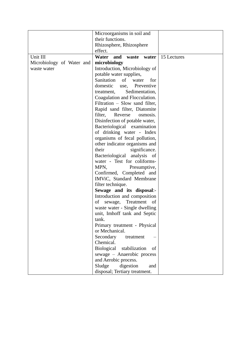|                           | Microorganisms in soil and        |             |
|---------------------------|-----------------------------------|-------------|
|                           | their functions.                  |             |
|                           | Rhizosphere, Rhizosphere          |             |
|                           | effect.                           |             |
| Unit III                  | Water and waste water             | 15 Lectures |
| Microbiology of Water and | microbiology                      |             |
| waste water               | Introduction, Microbiology of     |             |
|                           | potable water supplies,           |             |
|                           | Sanitation<br>of<br>water<br>for  |             |
|                           | domestic<br>Preventive<br>use,    |             |
|                           | Sedimentation,<br>treatment,      |             |
|                           | Coagulation and Flocculation.     |             |
|                           | Filtration – Slow sand filter,    |             |
|                           | Rapid sand filter, Diatomite      |             |
|                           | filter,<br>Reverse<br>osmosis.    |             |
|                           | Disinfection of potable water,    |             |
|                           | Bacteriological examination       |             |
|                           | of drinking water - Index         |             |
|                           | organisms of fecal pollution,     |             |
|                           | other indicator organisms and     |             |
|                           | significance.<br>their            |             |
|                           | Bacteriological analysis<br>- of  |             |
|                           | water - Test for coliforms-       |             |
|                           | MPN,<br>Presumptive,              |             |
|                           | Confirmed, Completed and          |             |
|                           | IMViC, Standard Membrane          |             |
|                           | filter technique.                 |             |
|                           | Sewage and its disposal:-         |             |
|                           | Introduction and composition      |             |
|                           | Treatment<br>of<br>sewage,<br>of  |             |
|                           | waste water - Single dwelling     |             |
|                           | unit, Imhoff tank and Septic      |             |
|                           | tank.                             |             |
|                           | Primary treatment - Physical      |             |
|                           | or Mechanical.                    |             |
|                           | Secondary<br>treatment            |             |
|                           | Chemical.                         |             |
|                           | Biological<br>stabilization<br>of |             |
|                           | sewage - Anaerobic process        |             |
|                           | and Aerobic process.              |             |
|                           | Sludge<br>digestion<br>and        |             |
|                           | disposal; Tertiary treatment.     |             |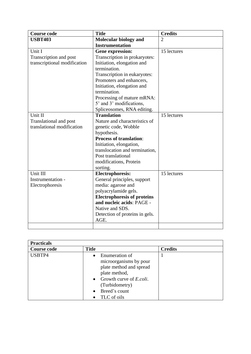| <b>Course code</b>           | <b>Title</b>                       | <b>Credits</b> |
|------------------------------|------------------------------------|----------------|
| <b>USBT403</b>               | <b>Molecular biology and</b>       | $\overline{2}$ |
|                              | <b>Instrumentation</b>             |                |
| Unit I                       | <b>Gene expression:</b>            | 15 lectures    |
| Transcription and post       | Transcription in prokaryotes:      |                |
| transcriptional modification | Initiation, elongation and         |                |
|                              | termination.                       |                |
|                              | Transcription in eukaryotes:       |                |
|                              | Promoters and enhancers,           |                |
|                              | Initiation, elongation and         |                |
|                              | termination.                       |                |
|                              | Processing of mature mRNA:         |                |
|                              | 5' and 3' modifications,           |                |
|                              | Spliceosomes, RNA editing.         |                |
| Unit II                      | <b>Translation</b>                 | 15 lectures    |
| Translational and post       | Nature and characteristics of      |                |
| translational modification   | genetic code, Wobble               |                |
|                              | hypothesis.                        |                |
|                              | <b>Process of translation:</b>     |                |
|                              | Initiation, elongation,            |                |
|                              | translocation and termination,     |                |
|                              | Post translational                 |                |
|                              | modifications, Protein             |                |
|                              | sorting.                           |                |
| Unit III                     | <b>Electrophoresis:</b>            | 15 lectures    |
| Instrumentation -            | General principles, support        |                |
| Electrophoresis              | media: agarose and                 |                |
|                              | polyacrylamide gels.               |                |
|                              | <b>Electrophoresis of proteins</b> |                |
|                              | and nucleic acids: PAGE -          |                |
|                              | Native and SDS.                    |                |
|                              | Detection of proteins in gels.     |                |
|                              | AGE.                               |                |
|                              |                                    |                |

| <b>Practicals</b>  |                                                                                                                                                                                                      |                |  |  |
|--------------------|------------------------------------------------------------------------------------------------------------------------------------------------------------------------------------------------------|----------------|--|--|
| <b>Course code</b> | <b>Title</b>                                                                                                                                                                                         | <b>Credits</b> |  |  |
| USBTP4             | Enumeration of<br>$\bullet$<br>microorganisms by pour<br>plate method and spread<br>plate method,<br>Growth curve of <i>E.coli.</i><br>$\bullet$<br>(Turbidometry)<br>• Breed's count<br>TLC of oils |                |  |  |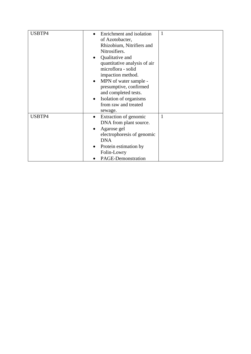| USBTP4 |                                     | 1            |
|--------|-------------------------------------|--------------|
|        | Enrichment and isolation            |              |
|        | of Azotobacter,                     |              |
|        | Rhizobium, Nitrifiers and           |              |
|        | Nitrosifiers.                       |              |
|        | Qualitative and<br>$\bullet$        |              |
|        | quantitative analysis of air        |              |
|        | microflora - solid                  |              |
|        | impaction method.                   |              |
|        | MPN of water sample -<br>$\bullet$  |              |
|        | presumptive, confirmed              |              |
|        | and completed tests.                |              |
|        | Isolation of organisms<br>$\bullet$ |              |
|        | from raw and treated                |              |
|        | sewage.                             |              |
| USBTP4 | Extraction of genomic<br>$\bullet$  | $\mathbf{1}$ |
|        | DNA from plant source.              |              |
|        | Agarose gel<br>$\bullet$            |              |
|        | electrophoresis of genomic          |              |
|        | <b>DNA</b>                          |              |
|        | Protein estimation by<br>$\bullet$  |              |
|        | Folin-Lowry                         |              |
|        | <b>PAGE-Demonstration</b>           |              |